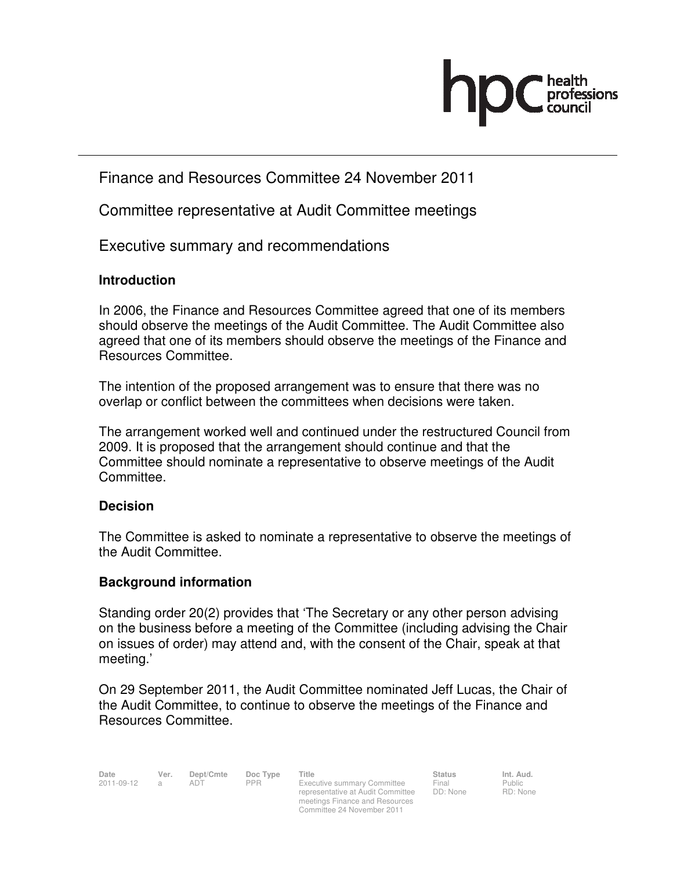# Finance and Resources Committee 24 November 2011

Committee representative at Audit Committee meetings

Executive summary and recommendations

## **Introduction**

In 2006, the Finance and Resources Committee agreed that one of its members should observe the meetings of the Audit Committee. The Audit Committee also agreed that one of its members should observe the meetings of the Finance and Resources Committee.

The intention of the proposed arrangement was to ensure that there was no overlap or conflict between the committees when decisions were taken.

The arrangement worked well and continued under the restructured Council from 2009. It is proposed that the arrangement should continue and that the Committee should nominate a representative to observe meetings of the Audit Committee.

## **Decision**

The Committee is asked to nominate a representative to observe the meetings of the Audit Committee.

## **Background information**

Standing order 20(2) provides that 'The Secretary or any other person advising on the business before a meeting of the Committee (including advising the Chair on issues of order) may attend and, with the consent of the Chair, speak at that meeting.'

On 29 September 2011, the Audit Committee nominated Jeff Lucas, the Chair of the Audit Committee, to continue to observe the meetings of the Finance and Resources Committee.

representative at Audit Committee meetings Finance and Resources Committee 24 November 2011

Final DD: None Public RD: None